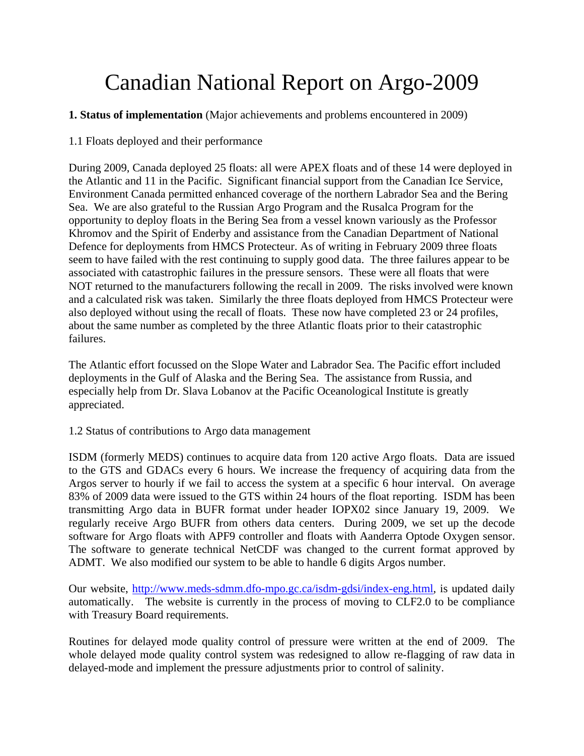# Canadian National Report on Argo-2009

**1. Status of implementation** (Major achievements and problems encountered in 2009)

1.1 Floats deployed and their performance

During 2009, Canada deployed 25 floats: all were APEX floats and of these 14 were deployed in the Atlantic and 11 in the Pacific. Significant financial support from the Canadian Ice Service, Environment Canada permitted enhanced coverage of the northern Labrador Sea and the Bering Sea. We are also grateful to the Russian Argo Program and the Rusalca Program for the opportunity to deploy floats in the Bering Sea from a vessel known variously as the Professor Khromov and the Spirit of Enderby and assistance from the Canadian Department of National Defence for deployments from HMCS Protecteur. As of writing in February 2009 three floats seem to have failed with the rest continuing to supply good data. The three failures appear to be associated with catastrophic failures in the pressure sensors. These were all floats that were NOT returned to the manufacturers following the recall in 2009. The risks involved were known and a calculated risk was taken. Similarly the three floats deployed from HMCS Protecteur were also deployed without using the recall of floats. These now have completed 23 or 24 profiles, about the same number as completed by the three Atlantic floats prior to their catastrophic failures.

The Atlantic effort focussed on the Slope Water and Labrador Sea. The Pacific effort included deployments in the Gulf of Alaska and the Bering Sea. The assistance from Russia, and especially help from Dr. Slava Lobanov at the Pacific Oceanological Institute is greatly appreciated.

## 1.2 Status of contributions to Argo data management

ISDM (formerly MEDS) continues to acquire data from 120 active Argo floats. Data are issued to the GTS and GDACs every 6 hours. We increase the frequency of acquiring data from the Argos server to hourly if we fail to access the system at a specific 6 hour interval. On average 83% of 2009 data were issued to the GTS within 24 hours of the float reporting. ISDM has been transmitting Argo data in BUFR format under header IOPX02 since January 19, 2009. We regularly receive Argo BUFR from others data centers. During 2009, we set up the decode software for Argo floats with APF9 controller and floats with Aanderra Optode Oxygen sensor. The software to generate technical NetCDF was changed to the current format approved by ADMT. We also modified our system to be able to handle 6 digits Argos number.

Our website, http://www.meds-sdmm.dfo-mpo.gc.ca/isdm-gdsi/index-eng.html, is updated daily automatically. The website is currently in the process of moving to CLF2.0 to be compliance with Treasury Board requirements.

Routines for delayed mode quality control of pressure were written at the end of 2009. The whole delayed mode quality control system was redesigned to allow re-flagging of raw data in delayed-mode and implement the pressure adjustments prior to control of salinity.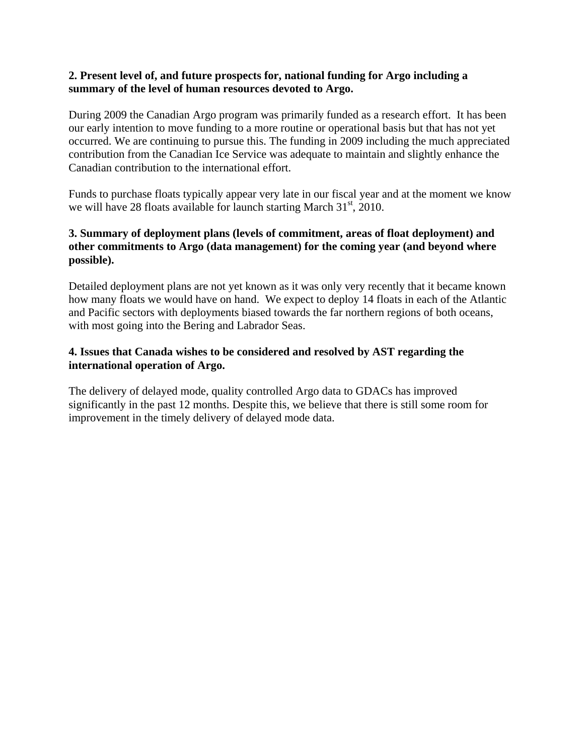#### **2. Present level of, and future prospects for, national funding for Argo including a summary of the level of human resources devoted to Argo.**

During 2009 the Canadian Argo program was primarily funded as a research effort. It has been our early intention to move funding to a more routine or operational basis but that has not yet occurred. We are continuing to pursue this. The funding in 2009 including the much appreciated contribution from the Canadian Ice Service was adequate to maintain and slightly enhance the Canadian contribution to the international effort.

Funds to purchase floats typically appear very late in our fiscal year and at the moment we know we will have 28 floats available for launch starting March  $31<sup>st</sup>$ , 2010.

## **3. Summary of deployment plans (levels of commitment, areas of float deployment) and other commitments to Argo (data management) for the coming year (and beyond where possible).**

Detailed deployment plans are not yet known as it was only very recently that it became known how many floats we would have on hand. We expect to deploy 14 floats in each of the Atlantic and Pacific sectors with deployments biased towards the far northern regions of both oceans, with most going into the Bering and Labrador Seas.

## **4. Issues that Canada wishes to be considered and resolved by AST regarding the international operation of Argo.**

The delivery of delayed mode, quality controlled Argo data to GDACs has improved significantly in the past 12 months. Despite this, we believe that there is still some room for improvement in the timely delivery of delayed mode data.